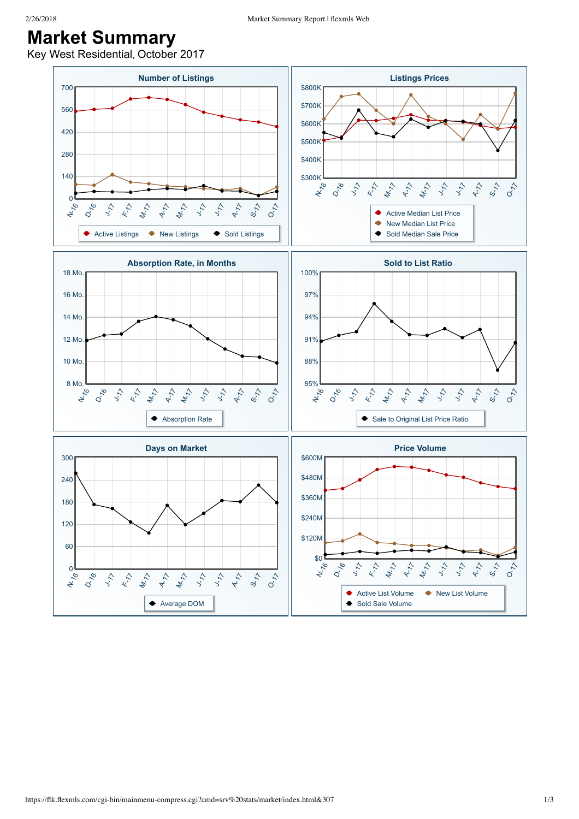## **Market Summary**

Key West Residential, October 2017

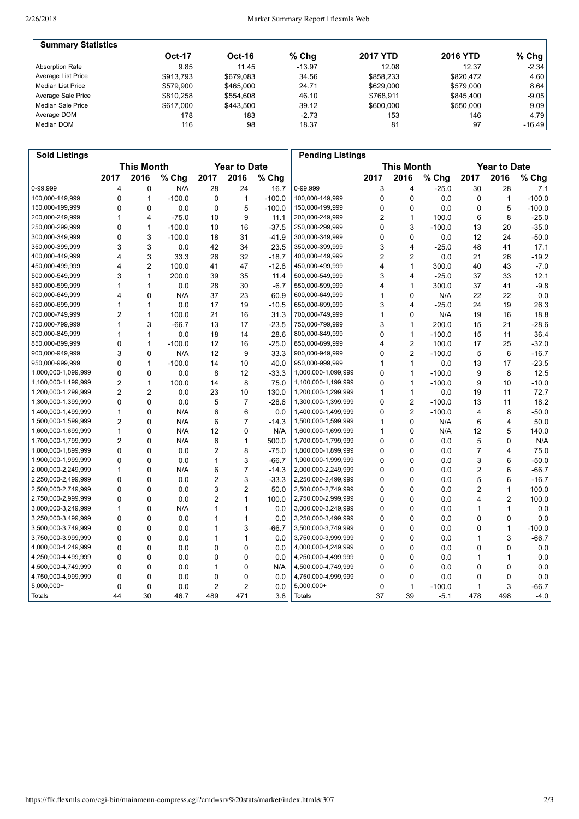| <b>Summary Statistics</b> |               |               |          |                 |                 |          |
|---------------------------|---------------|---------------|----------|-----------------|-----------------|----------|
|                           | <b>Oct-17</b> | <b>Oct-16</b> | % Chq    | <b>2017 YTD</b> | <b>2016 YTD</b> | $%$ Chg  |
| <b>Absorption Rate</b>    | 9.85          | 11.45         | $-13.97$ | 12.08           | 12.37           | $-2.34$  |
| Average List Price        | \$913.793     | \$679.083     | 34.56    | \$858.233       | \$820.472       | 4.60     |
| Median List Price         | \$579.900     | \$465,000     | 24.71    | \$629,000       | \$579,000       | 8.64     |
| Average Sale Price        | \$810.258     | \$554.608     | 46.10    | \$768.911       | \$845.400       | $-9.05$  |
| l Median Sale Price       | \$617,000     | \$443.500     | 39.12    | \$600,000       | \$550,000       | 9.09     |
| Average DOM               | 178           | 183           | $-2.73$  | 153             | 146             | 4.79     |
| Median DOM                | 116           | 98            | 18.37    | 81              | 97              | $-16.49$ |

| <b>Sold Listings</b> |                                          |                |          |                |                |          | <b>Pending Listings</b>                  |                |                |          |                         |                |          |
|----------------------|------------------------------------------|----------------|----------|----------------|----------------|----------|------------------------------------------|----------------|----------------|----------|-------------------------|----------------|----------|
|                      | <b>This Month</b><br><b>Year to Date</b> |                |          |                |                |          | <b>This Month</b><br><b>Year to Date</b> |                |                |          |                         |                |          |
|                      | 2017                                     | 2016           | % Chg    | 2017           | 2016           | % Chg    |                                          | 2017           | 2016           | % Chg    | 2017                    | 2016           | % Chg    |
| 0-99,999             | 4                                        | 0              | N/A      | 28             | 24             | 16.7     | 0-99,999                                 | 3              | 4              | $-25.0$  | 30                      | 28             | 7.1      |
| 100,000-149,999      | 0                                        | 1              | $-100.0$ | $\mathbf 0$    | $\mathbf{1}$   | $-100.0$ | 100,000-149,999                          | 0              | $\mathbf 0$    | 0.0      | 0                       | 1              | $-100.0$ |
| 150,000-199,999      | 0                                        | 0              | 0.0      | $\mathbf 0$    | 5              | $-100.0$ | 150,000-199,999                          | 0              | 0              | 0.0      | 0                       | 5              | $-100.0$ |
| 200,000-249,999      | 1                                        | 4              | $-75.0$  | 10             | 9              | 11.1     | 200,000-249,999                          | $\overline{2}$ | 1              | 100.0    | 6                       | 8              | $-25.0$  |
| 250,000-299,999      | 0                                        | 1              | $-100.0$ | 10             | 16             | $-37.5$  | 250,000-299,999                          | 0              | 3              | $-100.0$ | 13                      | 20             | $-35.0$  |
| 300,000-349,999      | 0                                        | 3              | $-100.0$ | 18             | 31             | $-41.9$  | 300,000-349,999                          | 0              | 0              | 0.0      | 12                      | 24             | $-50.0$  |
| 350,000-399,999      | 3                                        | 3              | 0.0      | 42             | 34             | 23.5     | 350,000-399,999                          | 3              | 4              | $-25.0$  | 48                      | 41             | 17.1     |
| 400,000-449,999      | 4                                        | 3              | 33.3     | 26             | 32             | $-18.7$  | 400,000-449,999                          | $\overline{2}$ | $\overline{2}$ | 0.0      | 21                      | 26             | $-19.2$  |
| 450,000-499,999      | 4                                        | 2              | 100.0    | 41             | 47             | $-12.8$  | 450,000-499,999                          | 4              | 1              | 300.0    | 40                      | 43             | $-7.0$   |
| 500.000-549.999      | 3                                        | 1              | 200.0    | 39             | 35             | 11.4     | 500,000-549,999                          | 3              | 4              | $-25.0$  | 37                      | 33             | 12.1     |
| 550,000-599,999      | 1                                        | 1              | 0.0      | 28             | 30             | $-6.7$   | 550,000-599,999                          | 4              | 1              | 300.0    | 37                      | 41             | $-9.8$   |
| 600,000-649,999      | 4                                        | 0              | N/A      | 37             | 23             | 60.9     | 600,000-649,999                          | 1              | $\Omega$       | N/A      | 22                      | 22             | 0.0      |
| 650,000-699,999      | 1                                        | $\mathbf{1}$   | 0.0      | 17             | 19             | $-10.5$  | 650,000-699,999                          | 3              | 4              | $-25.0$  | 24                      | 19             | 26.3     |
| 700,000-749,999      | 2                                        | 1              | 100.0    | 21             | 16             | 31.3     | 700,000-749,999                          | 1              | 0              | N/A      | 19                      | 16             | 18.8     |
| 750,000-799,999      | 1                                        | 3              | $-66.7$  | 13             | 17             | $-23.5$  | 750,000-799,999                          | 3              | 1              | 200.0    | 15                      | 21             | $-28.6$  |
| 800,000-849,999      | 1                                        | 1              | 0.0      | 18             | 14             | 28.6     | 800,000-849,999                          | 0              | 1              | $-100.0$ | 15                      | 11             | 36.4     |
| 850,000-899,999      | $\Omega$                                 | 1              | $-100.0$ | 12             | 16             | $-25.0$  | 850,000-899,999                          | 4              | $\overline{2}$ | 100.0    | 17                      | 25             | $-32.0$  |
| 900,000-949,999      | 3                                        | $\Omega$       | N/A      | 12             | 9              | 33.3     | 900,000-949,999                          | 0              | $\overline{2}$ | $-100.0$ | 5                       | 6              | $-16.7$  |
| 950,000-999,999      | 0                                        | 1              | $-100.0$ | 14             | 10             | 40.0     | 950,000-999,999                          | 1              | $\mathbf{1}$   | 0.0      | 13                      | 17             | $-23.5$  |
| 1,000,000-1,099,999  | 0                                        | 0              | 0.0      | 8              | 12             | $-33.3$  | 1,000,000-1,099,999                      | 0              | 1              | $-100.0$ | 9                       | 8              | 12.5     |
| 1,100,000-1,199,999  | $\overline{2}$                           | $\mathbf{1}$   | 100.0    | 14             | 8              | 75.0     | 1,100,000-1,199,999                      | 0              | 1              | $-100.0$ | 9                       | 10             | $-10.0$  |
| 1,200,000-1,299,999  | $\overline{2}$                           | $\overline{2}$ | 0.0      | 23             | 10             | 130.0    | 1,200,000-1,299,999                      | 1              | $\mathbf{1}$   | 0.0      | 19                      | 11             | 72.7     |
| 1,300,000-1,399,999  | 0                                        | $\Omega$       | 0.0      | 5              | $\overline{7}$ | $-28.6$  | 1,300,000-1,399,999                      | 0              | $\overline{c}$ | $-100.0$ | 13                      | 11             | 18.2     |
| 1,400,000-1,499,999  | 1                                        | 0              | N/A      | 6              | 6              | 0.0      | 1,400,000-1,499,999                      | 0              | $\overline{2}$ | $-100.0$ | $\overline{4}$          | 8              | $-50.0$  |
| 1,500,000-1,599,999  | $\overline{2}$                           | 0              | N/A      | 6              | $\overline{7}$ | $-14.3$  | 1,500,000-1,599,999                      | 1              | 0              | N/A      | 6                       | $\overline{4}$ | 50.0     |
| 1,600,000-1,699,999  | 1                                        | 0              | N/A      | 12             | 0              | N/A      | 1,600,000-1,699,999                      | 1              | 0              | N/A      | 12                      | 5              | 140.0    |
| 1,700,000-1,799,999  | $\overline{2}$                           | 0              | N/A      | 6              | $\mathbf{1}$   | 500.0    | 1,700,000-1,799,999                      | 0              | $\mathbf 0$    | 0.0      | 5                       | 0              | N/A      |
| 1,800,000-1,899,999  | 0                                        | 0              | 0.0      | 2              | 8              | $-75.0$  | 1,800,000-1,899,999                      | 0              | 0              | 0.0      | $\overline{7}$          | $\overline{4}$ | 75.0     |
| 1,900,000-1,999,999  | 0                                        | 0              | 0.0      | 1              | 3              | $-66.7$  | 1,900,000-1,999,999                      | 0              | $\mathbf 0$    | 0.0      | 3                       | 6              | $-50.0$  |
| 2,000,000-2,249,999  | 1                                        | 0              | N/A      | 6              | $\overline{7}$ | $-14.3$  | 2,000,000-2,249,999                      | 0              | 0              | 0.0      | $\boldsymbol{2}$        | 6              | $-66.7$  |
| 2,250,000-2,499,999  | 0                                        | 0              | 0.0      | 2              | 3              | $-33.3$  | 2,250,000-2,499,999                      | 0              | 0              | 0.0      | 5                       | 6              | $-16.7$  |
| 2,500,000-2,749,999  | 0                                        | 0              | 0.0      | 3              | $\overline{c}$ | 50.0     | 2,500,000-2,749,999                      | 0              | $\mathbf 0$    | 0.0      | $\overline{\mathbf{c}}$ | $\mathbf{1}$   | 100.0    |
| 2,750,000-2,999,999  | $\Omega$                                 | 0              | 0.0      | $\overline{c}$ | $\mathbf{1}$   | 100.0    | 2,750,000-2,999,999                      | 0              | 0              | 0.0      | 4                       | $\overline{2}$ | 100.0    |
| 3,000,000-3,249,999  | 1                                        | 0              | N/A      | 1              | 1              | 0.0      | 3,000,000-3,249,999                      | 0              | 0              | 0.0      | 1                       | $\mathbf{1}$   | 0.0      |
| 3,250,000-3,499,999  | 0                                        | 0              | 0.0      | 1              | $\mathbf{1}$   | 0.0      | 3,250,000-3,499,999                      | 0              | $\Omega$       | 0.0      | 0                       | 0              | 0.0      |
| 3,500,000-3,749,999  | 0                                        | 0              | 0.0      | 1              | 3              | $-66.7$  | 3,500,000-3,749,999                      | 0              | 0              | 0.0      | 0                       | $\mathbf{1}$   | $-100.0$ |
| 3,750,000-3,999,999  | $\Omega$                                 | 0              | 0.0      | 1              | $\mathbf{1}$   | 0.0      | 3,750,000-3,999,999                      | 0              | $\Omega$       | 0.0      | 1                       | 3              | $-66.7$  |
| 4,000,000-4,249,999  | $\Omega$                                 | 0              | 0.0      | 0              | $\mathbf 0$    | 0.0      | 4,000,000-4,249,999                      | 0              | 0              | 0.0      | 0                       | $\Omega$       | 0.0      |
| 4,250,000-4,499,999  | 0                                        | 0              | 0.0      | 0              | $\Omega$       | 0.0      | 4,250,000-4,499,999                      | 0              | $\Omega$       | 0.0      | 1                       | 1              | 0.0      |
| 4,500,000-4,749,999  | 0                                        | 0              | 0.0      | 1              | $\mathbf 0$    | N/A      | 4,500,000-4,749,999                      | 0              | $\mathbf 0$    | 0.0      | 0                       | 0              | 0.0      |
| 4,750,000-4,999,999  | 0                                        | 0              | 0.0      | 0              | 0              | 0.0      | 4,750,000-4,999,999                      | 0              | 0              | 0.0      | 0                       | 0              | 0.0      |
| 5,000,000+           | 0                                        | $\mathbf 0$    | 0.0      | 2              | $\overline{2}$ | 0.0      | $5,000,000+$                             | 0              | 1              | $-100.0$ | $\mathbf{1}$            | 3              | $-66.7$  |
| Totals               | 44                                       | 30             | 46.7     | 489            | 471            | 3.8      | <b>Totals</b>                            | 37             | 39             | $-5.1$   | 478                     | 498            | $-4.0$   |